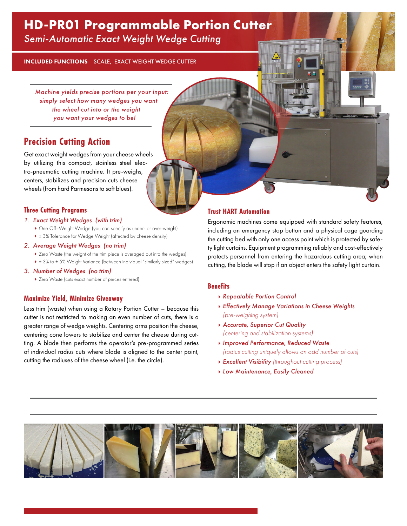# **HD-PR01 Programmable Portion Cutter**

*Semi-Automatic Exact Weight Wedge Cutting*

INCLUDED FUNCTIONS SCALE, EXACT WEIGHT WEDGE CUTTER

*Machine yields precise portions per your input: simply select how many wedges you want the wheel cut into or the weight you want your wedges to be!*

## **Precision Cutting Action**

Get exact weight wedges from your cheese wheels by utilizing this compact, stainless steel electro-pneumatic cutting machine. It pre-weighs, centers, stabilizes and precision cuts cheese wheels (from hard Parmesans to soft blues).

### **Three Cutting Programs**

### *1. Exact Weight Wedges (with trim)*

- One Off–Weight Wedge (you can specify as under- or over-weight)
- ▶ ± 3% Tolerance for Wedge Weight (affected by cheese density)

### *2. Average Weight Wedges (no trim)*

- Zero Waste (the weight of the trim piece is averaged out into the wedges)
- ▶ ± 3% to ± 5% Weight Variance (between individual "similarly sized" wedges)
- *3. Number of Wedges (no trim)*
	- Zero Waste (cuts exact number of pieces entered)

### **Maximize Yield, Minimize Giveaway**

Less trim (waste) when using a Rotary Portion Cutter – because this cutter is not restricted to making an even number of cuts, there is a greater range of wedge weights. Centering arms position the cheese, centering cone lowers to stabilize and center the cheese during cutting. A blade then performs the operator's pre-programmed series of individual radius cuts where blade is aligned to the center point, cutting the radiuses of the cheese wheel (i.e. the circle).

### **Trust HART Automation**

Ergonomic machines come equipped with standard safety features, including an emergency stop button and a physical cage guarding the cutting bed with only one access point which is protected by safety light curtains. Equipment programming reliably and cost-effectively protects personnel from entering the hazardous cutting area; when cutting, the blade will stop if an object enters the safety light curtain.

### **Benefits**

- *Repeatable Portion Control*
- *Effectively Manage Variations in Cheese Weights (pre-weighing system)*
- *Accurate, Superior Cut Quality (centering and stabilization systems)*
- *Improved Performance, Reduced Waste (radius cutting uniquely allows an odd number of cuts)*
- *Excellent Visibility (throughout cutting process)*
- *Low Maintenance, Easily Cleaned*